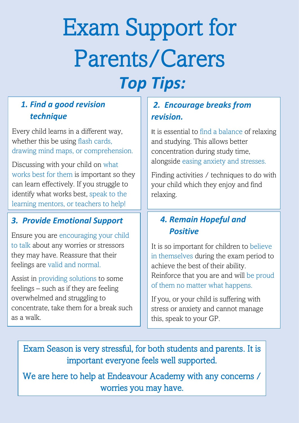# Exam Support for Parents/Carers *Top Tips:*

### *1. Find a good revision technique*

Every child learns in a different way, whether this be using flash cards, drawing mind maps, or comprehension.

Discussing with your child on what works best for them is important so they can learn effectively. If you struggle to identify what works best, speak to the learning mentors, or teachers to help!

### *3. Provide Emotional Support*

Ensure you are encouraging your child to talk about any worries or stressors they may have. Reassure that their feelings are valid and normal.

Assist in providing solutions to some feelings – such as if they are feeling overwhelmed and struggling to concentrate, take them for a break such as a walk.

## *2. Encourage breaks from revision.*

It is essential to find a balance of relaxing and studying. This allows better concentration during study time, alongside easing anxiety and stresses.

Finding activities / techniques to do with your child which they enjoy and find relaxing.

#### *4. Remain Hopeful and Positive*

It is so important for children to believe in themselves during the exam period to achieve the best of their ability. Reinforce that you are and will be proud of them no matter what happens.

If you, or your child is suffering with stress or anxiety and cannot manage this, speak to your GP.

Exam Season is very stressful, for both students and parents. It is important everyone feels well supported.

We are here to help at Endeavour Academy with any concerns / worries you may have.